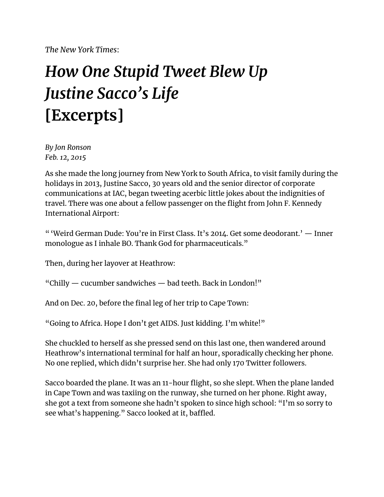*The New York Times*:

## *How One Stupid Tweet Blew Up Justine Sacco's Life* **[Excerpts]**

*By Jon Ronson Feb. 12, 2015*

As she made the long journey from New York to South Africa, to visit family during the holidays in 2013, Justine Sacco, 30 years old and the senior director of corporate communications at IAC, began tweeting acerbic little jokes about the indignities of travel. There was one about a fellow passenger on the flight from John F. Kennedy International Airport:

"'Weird German Dude: You're in First Class. It's 2014. Get some deodorant.' — Inner monologue as I inhale BO. Thank God for pharmaceuticals."

Then, during her layover at Heathrow:

"Chilly — cucumber sandwiches — bad teeth. Back in London!"

And on Dec. 20, before the final leg of her trip to Cape Town:

"Going to Africa. Hope I don't get AIDS. Just kidding. I'm white!"

She chuckled to herself as she pressed send on this last one, then wandered around Heathrow's international terminal for half an hour, sporadically checking her phone. No one replied, which didn't surprise her. She had only 170 Twitter followers.

Sacco boarded the plane. It was an 11-hour flight, so she slept. When the plane landed in Cape Town and was taxiing on the runway, she turned on her phone. Right away, she got a text from someone she hadn't spoken to since high school: "I'm so sorry to see what's happening." Sacco looked at it, baffled.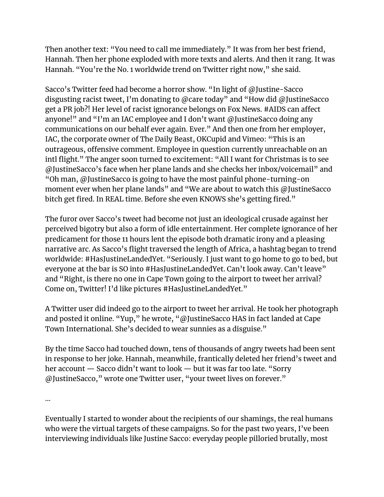Then another text: "You need to call me immediately." It was from her best friend, Hannah. Then her phone exploded with more texts and alerts. And then it rang. It was Hannah. "You're the No. 1 worldwide trend on Twitter right now," she said.

Sacco's Twitter feed had become a horror show. "In light of @Justine-Sacco disgusting racist tweet, I'm donating to @care today" and "How did @JustineSacco get a PR job?! Her level of racist ignorance belongs on Fox News. #AIDS can affect anyone!" and "I'm an IAC employee and I don't want @JustineSacco doing any communications on our behalf ever again. Ever." And then one from her employer, IAC, the corporate owner of The Daily Beast, OKCupid and Vimeo: "This is an outrageous, offensive comment. Employee in question currently unreachable on an intl flight." The anger soon turned to excitement: "All I want for Christmas is to see @JustineSacco's face when her plane lands and she checks her inbox/voicemail" and "Oh man, @JustineSacco is going to have the most painful phone-turning-on moment ever when her plane lands" and "We are about to watch this @JustineSacco bitch get fired. In REAL time. Before she even KNOWS she's getting fired."

The furor over Sacco's tweet had become not just an ideological crusade against her perceived bigotry but also a form of idle entertainment. Her complete ignorance of her predicament for those 11 hours lent the episode both dramatic irony and a pleasing narrative arc. As Sacco's flight traversed the length of Africa, a hashtag began to trend worldwide: #HasJustineLandedYet. "Seriously. I just want to go home to go to bed, but everyone at the bar is SO into #HasJustineLandedYet. Can't look away. Can't leave" and "Right, is there no one in Cape Town going to the airport to tweet her arrival? Come on, Twitter! I'd like pictures #HasJustineLandedYet."

A Twitter user did indeed go to the airport to tweet her arrival. He took her photograph and posted it online. "Yup," he wrote, "@JustineSacco HAS in fact landed at Cape Town International. She's decided to wear sunnies as a disguise."

By the time Sacco had touched down, tens of thousands of angry tweets had been sent in response to her joke. Hannah, meanwhile, frantically deleted her friend's tweet and her account — Sacco didn't want to look — but it was far too late. "Sorry @JustineSacco," wrote one Twitter user, "your tweet lives on forever."

…

Eventually I started to wonder about the recipients of our shamings, the real humans who were the virtual targets of these campaigns. So for the past two years, I've been interviewing individuals like Justine Sacco: everyday people pilloried brutally, most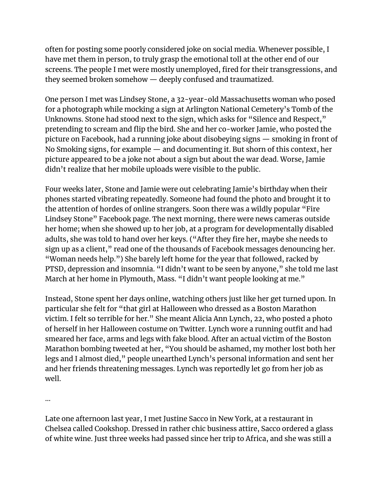often for posting some poorly considered joke on social media. Whenever possible, I have met them in person, to truly grasp the emotional toll at the other end of our screens. The people I met were mostly unemployed, fired for their transgressions, and they seemed broken somehow — deeply confused and traumatized.

One person I met was Lindsey Stone, a 32-year-old Massachusetts woman who posed for a photograph while mocking a sign at Arlington National Cemetery's Tomb of the Unknowns. Stone had stood next to the sign, which asks for "Silence and Respect," pretending to scream and flip the bird. She and her co-worker Jamie, who posted the picture on Facebook, had a running joke about disobeying signs — smoking in front of No Smoking signs, for example — and documenting it. But shorn of this context, her picture appeared to be a joke not about a sign but about the war dead. Worse, Jamie didn't realize that her mobile uploads were visible to the public.

Four weeks later, Stone and Jamie were out celebrating Jamie's birthday when their phones started vibrating repeatedly. Someone had found the photo and brought it to the attention of hordes of online strangers. Soon there was a wildly popular "Fire Lindsey Stone" Facebook page. The next morning, there were news cameras outside her home; when she showed up to her job, at a program for developmentally disabled adults, she was told to hand over her keys. ("After they fire her, maybe she needs to sign up as a client," read one of the thousands of Facebook messages denouncing her. "Woman needs help.") She barely left home for the year that followed, racked by PTSD, depression and insomnia. "I didn't want to be seen by anyone," she told me last March at her home in Plymouth, Mass. "I didn't want people looking at me."

Instead, Stone spent her days online, watching others just like her get turned upon. In particular she felt for "that girl at Halloween who dressed as a Boston Marathon victim. I felt so terrible for her." She meant Alicia Ann Lynch, 22, who posted a photo of herself in her Halloween costume on Twitter. Lynch wore a running outfit and had smeared her face, arms and legs with fake blood. After an actual victim of the Boston Marathon bombing tweeted at her, "You should be ashamed, my mother lost both her legs and I almost died," people unearthed Lynch's personal information and sent her and her friends threatening messages. Lynch was reportedly let go from her job as well.

…

Late one afternoon last year, I met Justine Sacco in New York, at a restaurant in Chelsea called Cookshop. Dressed in rather chic business attire, Sacco ordered a glass of white wine. Just three weeks had passed since her trip to Africa, and she was still a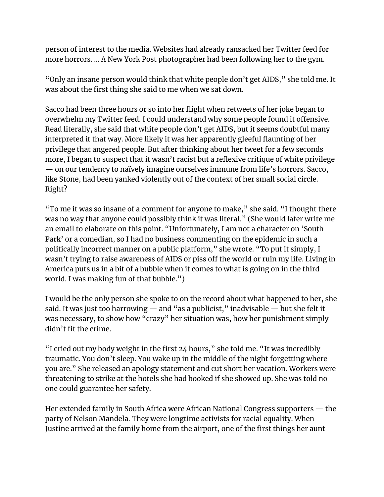person of interest to the media. Websites had already ransacked her Twitter feed for more horrors. … A New York Post photographer had been following her to the gym.

"Only an insane person would think that white people don't get AIDS," she told me. It was about the first thing she said to me when we sat down.

Sacco had been three hours or so into her flight when retweets of her joke began to overwhelm my Twitter feed. I could understand why some people found it offensive. Read literally, she said that white people don't get AIDS, but it seems doubtful many interpreted it that way. More likely it was her apparently gleeful flaunting of her privilege that angered people. But after thinking about her tweet for a few seconds more, I began to suspect that it wasn't racist but a reflexive critique of white privilege — on our tendency to naïvely imagine ourselves immune from life's horrors. Sacco, like Stone, had been yanked violently out of the context of her small social circle. Right?

"To me it was so insane of a comment for anyone to make," she said. "I thought there was no way that anyone could possibly think it was literal." (She would later write me an email to elaborate on this point. "Unfortunately, I am not a character on 'South Park' or a comedian, so I had no business commenting on the epidemic in such a politically incorrect manner on a public platform," she wrote. "To put it simply, I wasn't trying to raise awareness of AIDS or piss off the world or ruin my life. Living in America puts us in a bit of a bubble when it comes to what is going on in the third world. I was making fun of that bubble.")

I would be the only person she spoke to on the record about what happened to her, she said. It was just too harrowing  $-$  and "as a publicist," inadvisable  $-$  but she felt it was necessary, to show how "crazy" her situation was, how her punishment simply didn't fit the crime.

"I cried out my body weight in the first 24 hours," she told me. "It was incredibly traumatic. You don't sleep. You wake up in the middle of the night forgetting where you are." She released an apology statement and cut short her vacation. Workers were threatening to strike at the hotels she had booked if she showed up. She was told no one could guarantee her safety.

Her extended family in South Africa were African National Congress supporters — the party of Nelson Mandela. They were longtime activists for racial equality. When Justine arrived at the family home from the airport, one of the first things her aunt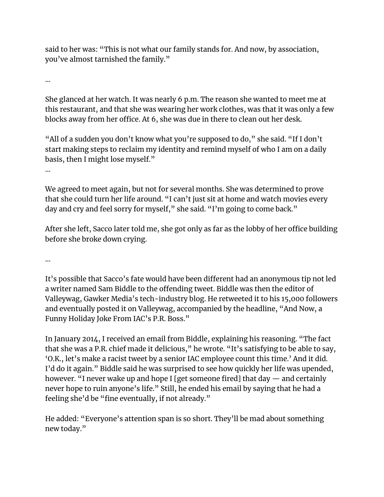said to her was: "This is not what our family stands for. And now, by association, you've almost tarnished the family."

…

She glanced at her watch. It was nearly 6 p.m. The reason she wanted to meet me at this restaurant, and that she was wearing her work clothes, was that it was only a few blocks away from her office. At 6, she was due in there to clean out her desk.

"All of a sudden you don't know what you're supposed to do," she said. "If I don't start making steps to reclaim my identity and remind myself of who I am on a daily basis, then I might lose myself."

…

We agreed to meet again, but not for several months. She was determined to prove that she could turn her life around. "I can't just sit at home and watch movies every day and cry and feel sorry for myself," she said. "I'm going to come back."

After she left, Sacco later told me, she got only as far as the lobby of her office building before she broke down crying.

…

It's possible that Sacco's fate would have been different had an anonymous tip not led a writer named Sam Biddle to the offending tweet. Biddle was then the editor of Valleywag, Gawker Media's tech-industry blog. He retweeted it to his 15,000 followers and eventually posted it on Valleywag, accompanied by the headline, "And Now, a Funny Holiday Joke From IAC's P.R. Boss."

In January 2014, I received an email from Biddle, explaining his reasoning. "The fact that she was a P.R. chief made it delicious," he wrote. "It's satisfying to be able to say, 'O.K., let's make a racist tweet by a senior IAC employee count this time.' And it did. I'd do it again." Biddle said he was surprised to see how quickly her life was upended, however. "I never wake up and hope I [get someone fired] that day — and certainly never hope to ruin anyone's life." Still, he ended his email by saying that he had a feeling she'd be "fine eventually, if not already."

He added: "Everyone's attention span is so short. They'll be mad about something new today."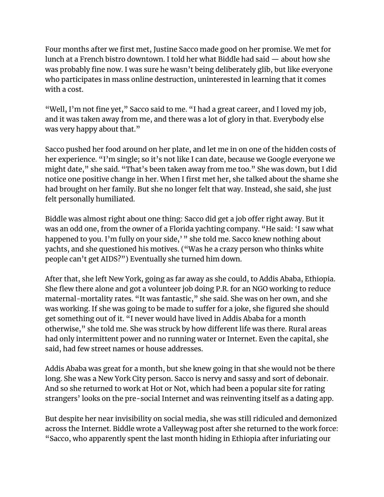Four months after we first met, Justine Sacco made good on her promise. We met for lunch at a French bistro downtown. I told her what Biddle had said — about how she was probably fine now. I was sure he wasn't being deliberately glib, but like everyone who participates in mass online destruction, uninterested in learning that it comes with a cost.

"Well, I'm not fine yet," Sacco said to me. "I had a great career, and I loved my job, and it was taken away from me, and there was a lot of glory in that. Everybody else was very happy about that."

Sacco pushed her food around on her plate, and let me in on one of the hidden costs of her experience. "I'm single; so it's not like I can date, because we Google everyone we might date," she said. "That's been taken away from me too." She was down, but I did notice one positive change in her. When I first met her, she talked about the shame she had brought on her family. But she no longer felt that way. Instead, she said, she just felt personally humiliated.

Biddle was almost right about one thing: Sacco did get a job offer right away. But it was an odd one, from the owner of a Florida yachting company. "He said: 'I saw what happened to you. I'm fully on your side,'" she told me. Sacco knew nothing about yachts, and she questioned his motives. ("Was he a crazy person who thinks white people can't get AIDS?") Eventually she turned him down.

After that, she left New York, going as far away as she could, to Addis Ababa, Ethiopia. She flew there alone and got a volunteer job doing P.R. for an NGO working to reduce maternal-mortality rates. "It was fantastic," she said. She was on her own, and she was working. If she was going to be made to suffer for a joke, she figured she should get something out of it. "I never would have lived in Addis Ababa for a month otherwise," she told me. She was struck by how different life was there. Rural areas had only intermittent power and no running water or Internet. Even the capital, she said, had few street names or house addresses.

Addis Ababa was great for a month, but she knew going in that she would not be there long. She was a New York City person. Sacco is nervy and sassy and sort of debonair. And so she returned to work at Hot or Not, which had been a popular site for rating strangers' looks on the pre-social Internet and was reinventing itself as a dating app.

But despite her near invisibility on social media, she was still ridiculed and demonized across the Internet. Biddle wrote a Valleywag post after she returned to the work force: "Sacco, who apparently spent the last month hiding in Ethiopia after infuriating our